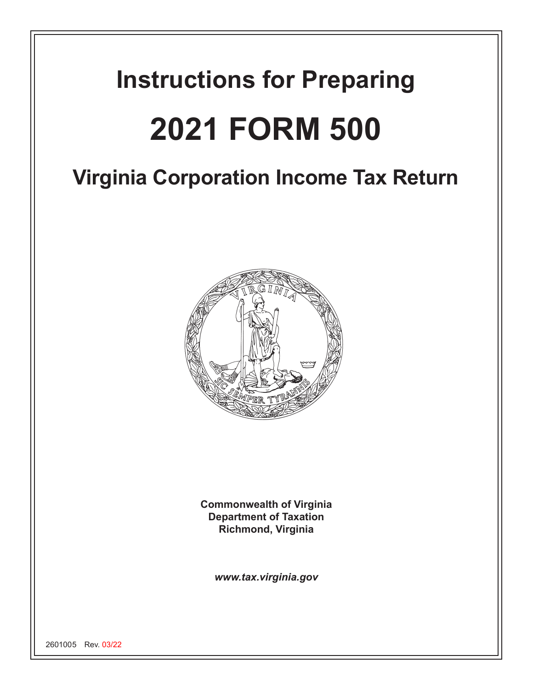# **Instructions for Preparing 2021 FORM 500**

## **Virginia Corporation Income Tax Return**



**Commonwealth of Virginia Department of Taxation Richmond, Virginia**

*www.tax.virginia.gov*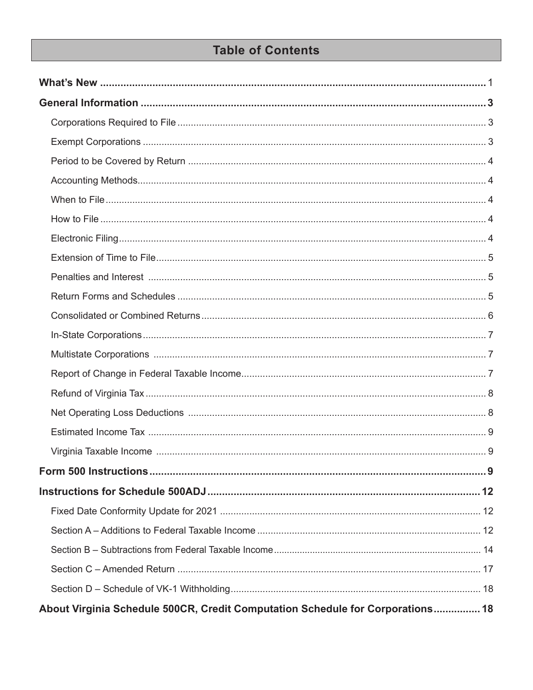## **Table of Contents**

| About Virginia Schedule 500CR, Credit Computation Schedule for Corporations 18 |  |
|--------------------------------------------------------------------------------|--|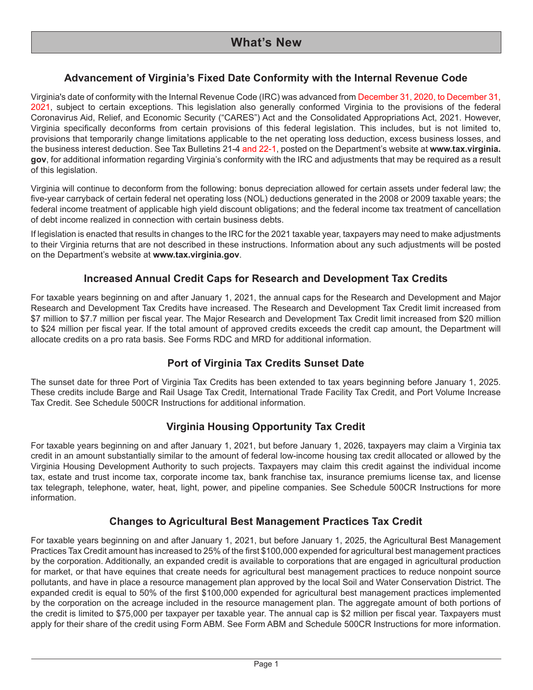## **Advancement of Virginia's Fixed Date Conformity with the Internal Revenue Code**

Virginia's date of conformity with the Internal Revenue Code (IRC) was advanced from December 31, 2020, to December 31, 2021, subject to certain exceptions. This legislation also generally conformed Virginia to the provisions of the federal Coronavirus Aid, Relief, and Economic Security ("CARES") Act and the Consolidated Appropriations Act, 2021. However, Virginia specifically deconforms from certain provisions of this federal legislation. This includes, but is not limited to, provisions that temporarily change limitations applicable to the net operating loss deduction, excess business losses, and the business interest deduction. See Tax Bulletins 21-4 and 22-1, posted on the Department's website at **www.tax.virginia. gov**, for additional information regarding Virginia's conformity with the IRC and adjustments that may be required as a result of this legislation.

Virginia will continue to deconform from the following: bonus depreciation allowed for certain assets under federal law; the five-year carryback of certain federal net operating loss (NOL) deductions generated in the 2008 or 2009 taxable years; the federal income treatment of applicable high yield discount obligations; and the federal income tax treatment of cancellation of debt income realized in connection with certain business debts.

If legislation is enacted that results in changes to the IRC for the 2021 taxable year, taxpayers may need to make adjustments to their Virginia returns that are not described in these instructions. Information about any such adjustments will be posted on the Department's website at **www.tax.virginia.gov**.

## **Increased Annual Credit Caps for Research and Development Tax Credits**

For taxable years beginning on and after January 1, 2021, the annual caps for the Research and Development and Major Research and Development Tax Credits have increased. The Research and Development Tax Credit limit increased from \$7 million to \$7.7 million per fiscal year. The Major Research and Development Tax Credit limit increased from \$20 million to \$24 million per fiscal year. If the total amount of approved credits exceeds the credit cap amount, the Department will allocate credits on a pro rata basis. See Forms RDC and MRD for additional information.

## **Port of Virginia Tax Credits Sunset Date**

The sunset date for three Port of Virginia Tax Credits has been extended to tax years beginning before January 1, 2025. These credits include Barge and Rail Usage Tax Credit, International Trade Facility Tax Credit, and Port Volume Increase Tax Credit. See Schedule 500CR Instructions for additional information.

## **Virginia Housing Opportunity Tax Credit**

For taxable years beginning on and after January 1, 2021, but before January 1, 2026, taxpayers may claim a Virginia tax credit in an amount substantially similar to the amount of federal low-income housing tax credit allocated or allowed by the Virginia Housing Development Authority to such projects. Taxpayers may claim this credit against the individual income tax, estate and trust income tax, corporate income tax, bank franchise tax, insurance premiums license tax, and license tax telegraph, telephone, water, heat, light, power, and pipeline companies. See Schedule 500CR Instructions for more information.

## **Changes to Agricultural Best Management Practices Tax Credit**

For taxable years beginning on and after January 1, 2021, but before January 1, 2025, the Agricultural Best Management Practices Tax Credit amount has increased to 25% of the first \$100,000 expended for agricultural best management practices by the corporation. Additionally, an expanded credit is available to corporations that are engaged in agricultural production for market, or that have equines that create needs for agricultural best management practices to reduce nonpoint source pollutants, and have in place a resource management plan approved by the local Soil and Water Conservation District. The expanded credit is equal to 50% of the first \$100,000 expended for agricultural best management practices implemented by the corporation on the acreage included in the resource management plan. The aggregate amount of both portions of the credit is limited to \$75,000 per taxpayer per taxable year. The annual cap is \$2 million per fiscal year. Taxpayers must apply for their share of the credit using Form ABM. See Form ABM and Schedule 500CR Instructions for more information.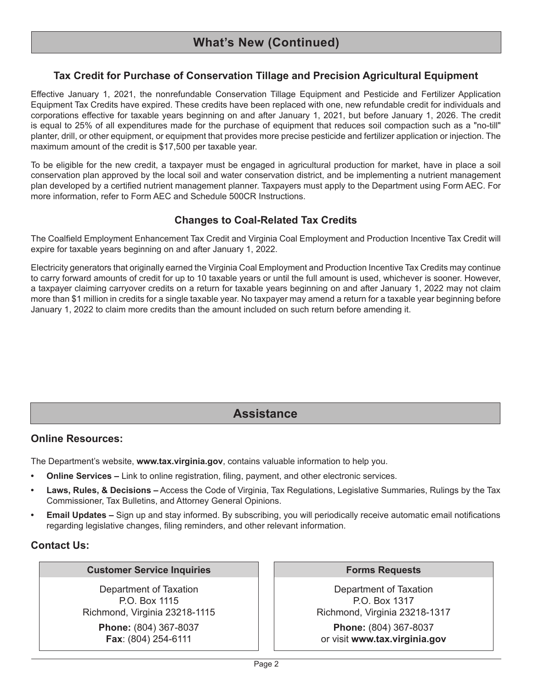## **Tax Credit for Purchase of Conservation Tillage and Precision Agricultural Equipment**

Effective January 1, 2021, the nonrefundable Conservation Tillage Equipment and Pesticide and Fertilizer Application Equipment Tax Credits have expired. These credits have been replaced with one, new refundable credit for individuals and corporations effective for taxable years beginning on and after January 1, 2021, but before January 1, 2026. The credit is equal to 25% of all expenditures made for the purchase of equipment that reduces soil compaction such as a "no-till" planter, drill, or other equipment, or equipment that provides more precise pesticide and fertilizer application or injection. The maximum amount of the credit is \$17,500 per taxable year.

To be eligible for the new credit, a taxpayer must be engaged in agricultural production for market, have in place a soil conservation plan approved by the local soil and water conservation district, and be implementing a nutrient management plan developed by a certified nutrient management planner. Taxpayers must apply to the Department using Form AEC. For more information, refer to Form AEC and Schedule 500CR Instructions.

## **Changes to Coal-Related Tax Credits**

The Coalfield Employment Enhancement Tax Credit and Virginia Coal Employment and Production Incentive Tax Credit will expire for taxable years beginning on and after January 1, 2022.

Electricity generators that originally earned the Virginia Coal Employment and Production Incentive Tax Credits may continue to carry forward amounts of credit for up to 10 taxable years or until the full amount is used, whichever is sooner. However, a taxpayer claiming carryover credits on a return for taxable years beginning on and after January 1, 2022 may not claim more than \$1 million in credits for a single taxable year. No taxpayer may amend a return for a taxable year beginning before January 1, 2022 to claim more credits than the amount included on such return before amending it.

## **Assistance**

#### **Online Resources:**

The Department's website, **www.tax.virginia.gov**, contains valuable information to help you.

- **• Online Services –** Link to online registration, filing, payment, and other electronic services.
- **• Laws, Rules, & Decisions –** Access the Code of Virginia, Tax Regulations, Legislative Summaries, Rulings by the Tax Commissioner, Tax Bulletins, and Attorney General Opinions.
- **• Email Updates –** Sign up and stay informed. By subscribing, you will periodically receive automatic email notifications regarding legislative changes, filing reminders, and other relevant information.

#### **Contact Us:**

#### **Customer Service Inquiries**

Department of Taxation P.O. Box 1115 Richmond, Virginia 23218-1115

> **Phone:** (804) 367-8037 **Fax**: (804) 254-6111

#### **Forms Requests**

Department of Taxation P.O. Box 1317 Richmond, Virginia 23218-1317

**Phone:** (804) 367-8037 or visit **www.tax.virginia.gov**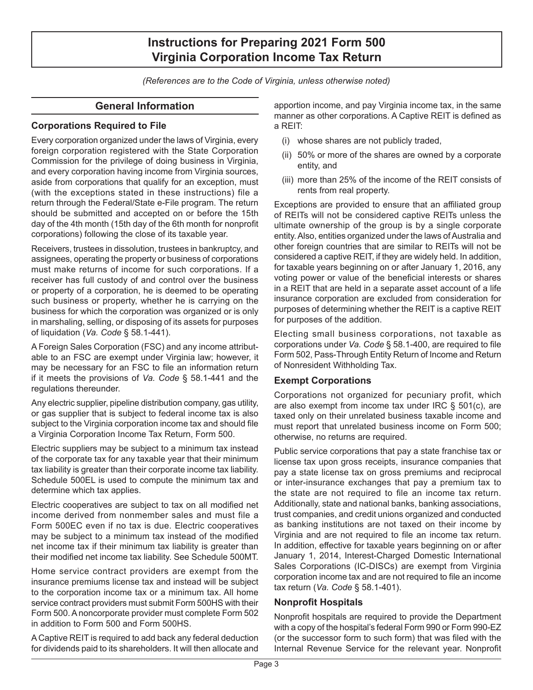*(References are to the Code of Virginia, unless otherwise noted)*

## **General Information**

## **Corporations Required to File**

Every corporation organized under the laws of Virginia, every foreign corporation registered with the State Corporation Commission for the privilege of doing business in Virginia, and every corporation having income from Virginia sources, aside from corporations that qualify for an exception, must (with the exceptions stated in these instructions) file a return through the Federal/State e-File program. The return should be submitted and accepted on or before the 15th day of the 4th month (15th day of the 6th month for nonprofit corporations) following the close of its taxable year.

Receivers, trustees in dissolution, trustees in bankruptcy, and assignees, operating the property or business of corporations must make returns of income for such corporations. If a receiver has full custody of and control over the business or property of a corporation, he is deemed to be operating such business or property, whether he is carrying on the business for which the corporation was organized or is only in marshaling, selling, or disposing of its assets for purposes of liquidation (*Va. Code* § 58.1-441).

A Foreign Sales Corporation (FSC) and any income attributable to an FSC are exempt under Virginia law; however, it may be necessary for an FSC to file an information return if it meets the provisions of *Va. Code* § 58.1-441 and the regulations thereunder.

Any electric supplier, pipeline distribution company, gas utility, or gas supplier that is subject to federal income tax is also subject to the Virginia corporation income tax and should file a Virginia Corporation Income Tax Return, Form 500.

Electric suppliers may be subject to a minimum tax instead of the corporate tax for any taxable year that their minimum tax liability is greater than their corporate income tax liability. Schedule 500EL is used to compute the minimum tax and determine which tax applies.

Electric cooperatives are subject to tax on all modified net income derived from nonmember sales and must file a Form 500EC even if no tax is due. Electric cooperatives may be subject to a minimum tax instead of the modified net income tax if their minimum tax liability is greater than their modified net income tax liability. See Schedule 500MT.

Home service contract providers are exempt from the insurance premiums license tax and instead will be subject to the corporation income tax or a minimum tax. All home service contract providers must submit Form 500HS with their Form 500. A noncorporate provider must complete Form 502 in addition to Form 500 and Form 500HS.

A Captive REIT is required to add back any federal deduction for dividends paid to its shareholders. It will then allocate and apportion income, and pay Virginia income tax, in the same manner as other corporations. A Captive REIT is defined as a REIT:

- (i) whose shares are not publicly traded,
- (ii) 50% or more of the shares are owned by a corporate entity, and
- (iii) more than 25% of the income of the REIT consists of rents from real property.

Exceptions are provided to ensure that an affiliated group of REITs will not be considered captive REITs unless the ultimate ownership of the group is by a single corporate entity. Also, entities organized under the laws of Australia and other foreign countries that are similar to REITs will not be considered a captive REIT, if they are widely held. In addition, for taxable years beginning on or after January 1, 2016, any voting power or value of the beneficial interests or shares in a REIT that are held in a separate asset account of a life insurance corporation are excluded from consideration for purposes of determining whether the REIT is a captive REIT for purposes of the addition.

Electing small business corporations, not taxable as corporations under *Va. Code* § 58.1-400, are required to file Form 502, Pass-Through Entity Return of Income and Return of Nonresident Withholding Tax.

#### **Exempt Corporations**

Corporations not organized for pecuniary profit, which are also exempt from income tax under IRC § 501(c), are taxed only on their unrelated business taxable income and must report that unrelated business income on Form 500; otherwise, no returns are required.

Public service corporations that pay a state franchise tax or license tax upon gross receipts, insurance companies that pay a state license tax on gross premiums and reciprocal or inter-insurance exchanges that pay a premium tax to the state are not required to file an income tax return. Additionally, state and national banks, banking associations, trust companies, and credit unions organized and conducted as banking institutions are not taxed on their income by Virginia and are not required to file an income tax return. In addition, effective for taxable years beginning on or after January 1, 2014, Interest-Charged Domestic International Sales Corporations (IC-DISCs) are exempt from Virginia corporation income tax and are not required to file an income tax return (*Va. Code* § 58.1-401).

## **Nonprofit Hospitals**

Nonprofit hospitals are required to provide the Department with a copy of the hospital's federal Form 990 or Form 990-EZ (or the successor form to such form) that was filed with the Internal Revenue Service for the relevant year. Nonprofit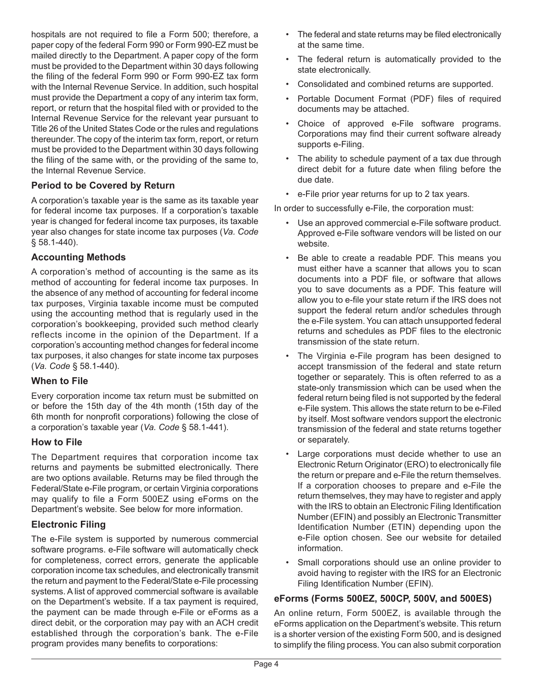hospitals are not required to file a Form 500; therefore, a paper copy of the federal Form 990 or Form 990-EZ must be mailed directly to the Department. A paper copy of the form must be provided to the Department within 30 days following the filing of the federal Form 990 or Form 990‑EZ tax form with the Internal Revenue Service. In addition, such hospital must provide the Department a copy of any interim tax form, report, or return that the hospital filed with or provided to the Internal Revenue Service for the relevant year pursuant to Title 26 of the United States Code or the rules and regulations thereunder. The copy of the interim tax form, report, or return must be provided to the Department within 30 days following the filing of the same with, or the providing of the same to, the Internal Revenue Service.

## **Period to be Covered by Return**

A corporation's taxable year is the same as its taxable year for federal income tax purposes. If a corporation's taxable year is changed for federal income tax purposes, its taxable year also changes for state income tax purposes (*Va. Code* § 58.1-440).

## **Accounting Methods**

A corporation's method of accounting is the same as its method of accounting for federal income tax purposes. In the absence of any method of accounting for federal income tax purposes, Virginia taxable income must be computed using the accounting method that is regularly used in the corporation's bookkeeping, provided such method clearly reflects income in the opinion of the Department. If a corporation's accounting method changes for federal income tax purposes, it also changes for state income tax purposes (*Va. Code* § 58.1-440).

## **When to File**

Every corporation income tax return must be submitted on or before the 15th day of the 4th month (15th day of the 6th month for nonprofit corporations) following the close of a corporation's taxable year (*Va. Code* § 58.1-441).

#### **How to File**

The Department requires that corporation income tax returns and payments be submitted electronically. There are two options available. Returns may be filed through the Federal/State e-File program, or certain Virginia corporations may qualify to file a Form 500EZ using eForms on the Department's website. See below for more information.

## **Electronic Filing**

The e-File system is supported by numerous commercial software programs. e-File software will automatically check for completeness, correct errors, generate the applicable corporation income tax schedules, and electronically transmit the return and payment to the Federal/State e-File processing systems. A list of approved commercial software is available on the Department's website. If a tax payment is required, the payment can be made through e-File or eForms as a direct debit, or the corporation may pay with an ACH credit established through the corporation's bank. The e-File program provides many benefits to corporations:

- The federal and state returns may be filed electronically at the same time.
- The federal return is automatically provided to the state electronically.
- Consolidated and combined returns are supported.
- Portable Document Format (PDF) files of required documents may be attached.
- Choice of approved e-File software programs. Corporations may find their current software already supports e-Filing.
- The ability to schedule payment of a tax due through direct debit for a future date when filing before the due date.
- e-File prior year returns for up to 2 tax years.

In order to successfully e-File, the corporation must:

- Use an approved commercial e-File software product. Approved e-File software vendors will be listed on our website.
- Be able to create a readable PDF. This means you must either have a scanner that allows you to scan documents into a PDF file, or software that allows you to save documents as a PDF. This feature will allow you to e‑file your state return if the IRS does not support the federal return and/or schedules through the e-File system. You can attach unsupported federal returns and schedules as PDF files to the electronic transmission of the state return.
- The Virginia e-File program has been designed to accept transmission of the federal and state return together or separately. This is often referred to as a state-only transmission which can be used when the federal return being filed is not supported by the federal e-File system. This allows the state return to be e-Filed by itself. Most software vendors support the electronic transmission of the federal and state returns together or separately.
- Large corporations must decide whether to use an Electronic Return Originator (ERO) to electronically file the return or prepare and e-File the return themselves. If a corporation chooses to prepare and e-File the return themselves, they may have to register and apply with the IRS to obtain an Electronic Filing Identification Number (EFIN) and possibly an Electronic Transmitter Identification Number (ETIN) depending upon the e-File option chosen. See our website for detailed information.
- Small corporations should use an online provider to avoid having to register with the IRS for an Electronic Filing Identification Number (EFIN).

## **eForms (Forms 500EZ, 500CP, 500V, and 500ES)**

An online return, Form 500EZ, is available through the eForms application on the Department's website. This return is a shorter version of the existing Form 500, and is designed to simplify the filing process. You can also submit corporation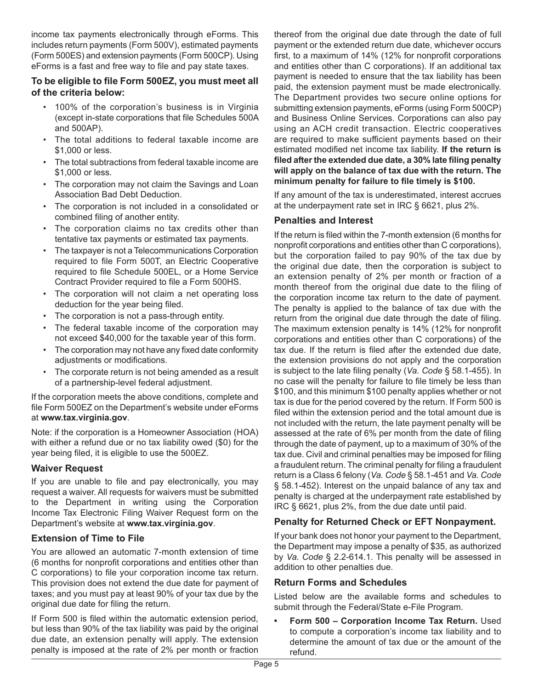income tax payments electronically through eForms. This includes return payments (Form 500V), estimated payments (Form 500ES) and extension payments (Form 500CP). Using eForms is a fast and free way to file and pay state taxes.

#### **To be eligible to file Form 500EZ, you must meet all of the criteria below:**

- 100% of the corporation's business is in Virginia (except in-state corporations that file Schedules 500A and 500AP).
- The total additions to federal taxable income are \$1,000 or less.
- The total subtractions from federal taxable income are \$1,000 or less.
- The corporation may not claim the Savings and Loan Association Bad Debt Deduction.
- The corporation is not included in a consolidated or combined filing of another entity.
- The corporation claims no tax credits other than tentative tax payments or estimated tax payments.
- The taxpayer is not a Telecommunications Corporation required to file Form 500T, an Electric Cooperative required to file Schedule 500EL, or a Home Service Contract Provider required to file a Form 500HS.
- The corporation will not claim a net operating loss deduction for the year being filed.
- The corporation is not a pass-through entity.
- The federal taxable income of the corporation may not exceed \$40,000 for the taxable year of this form.
- The corporation may not have any fixed date conformity adjustments or modifications.
- The corporate return is not being amended as a result of a partnership-level federal adjustment.

If the corporation meets the above conditions, complete and file Form 500EZ on the Department's website under eForms at **www.tax.virginia.gov**.

Note: if the corporation is a Homeowner Association (HOA) with either a refund due or no tax liability owed (\$0) for the year being filed, it is eligible to use the 500EZ.

## **Waiver Request**

If you are unable to file and pay electronically, you may request a waiver. All requests for waivers must be submitted to the Department in writing using the Corporation Income Tax Electronic Filing Waiver Request form on the Department's website at **www.tax.virginia.gov**.

## **Extension of Time to File**

You are allowed an automatic 7-month extension of time (6 months for nonprofit corporations and entities other than C corporations) to file your corporation income tax return. This provision does not extend the due date for payment of taxes; and you must pay at least 90% of your tax due by the original due date for filing the return.

If Form 500 is filed within the automatic extension period, but less than 90% of the tax liability was paid by the original due date, an extension penalty will apply. The extension penalty is imposed at the rate of 2% per month or fraction

thereof from the original due date through the date of full payment or the extended return due date, whichever occurs first, to a maximum of 14% (12% for nonprofit corporations and entities other than C corporations). If an additional tax payment is needed to ensure that the tax liability has been paid, the extension payment must be made electronically. The Department provides two secure online options for submitting extension payments, eForms (using Form 500CP) and Business Online Services. Corporations can also pay using an ACH credit transaction. Electric cooperatives are required to make sufficient payments based on their estimated modified net income tax liability. **If the return is filed after the extended due date, a 30% late filing penalty will apply on the balance of tax due with the return. The minimum penalty for failure to file timely is \$100.**

If any amount of the tax is underestimated, interest accrues at the underpayment rate set in IRC § 6621, plus 2%.

## **Penalties and Interest**

If the return is filed within the 7-month extension (6 months for nonprofit corporations and entities other than C corporations), but the corporation failed to pay 90% of the tax due by the original due date, then the corporation is subject to an extension penalty of 2% per month or fraction of a month thereof from the original due date to the filing of the corporation income tax return to the date of payment. The penalty is applied to the balance of tax due with the return from the original due date through the date of filing. The maximum extension penalty is 14% (12% for nonprofit corporations and entities other than C corporations) of the tax due. If the return is filed after the extended due date, the extension provisions do not apply and the corporation is subject to the late filing penalty (*Va. Code* § 58.1-455). In no case will the penalty for failure to file timely be less than \$100, and this minimum \$100 penalty applies whether or not tax is due for the period covered by the return. If Form 500 is filed within the extension period and the total amount due is not included with the return, the late payment penalty will be assessed at the rate of 6% per month from the date of filing through the date of payment, up to a maximum of 30% of the tax due. Civil and criminal penalties may be imposed for filing a fraudulent return. The criminal penalty for filing a fraudulent return is a Class 6 felony (*Va. Code* § 58.1-451 and *Va. Code* § 58.1-452). Interest on the unpaid balance of any tax and penalty is charged at the underpayment rate established by IRC § 6621, plus 2%, from the due date until paid.

## **Penalty for Returned Check or EFT Nonpayment.**

If your bank does not honor your payment to the Department, the Department may impose a penalty of \$35, as authorized by *Va. Code* § 2.2-614.1. This penalty will be assessed in addition to other penalties due.

#### **Return Forms and Schedules**

Listed below are the available forms and schedules to submit through the Federal/State e-File Program.

**• Form 500 – Corporation Income Tax Return.** Used to compute a corporation's income tax liability and to determine the amount of tax due or the amount of the refund.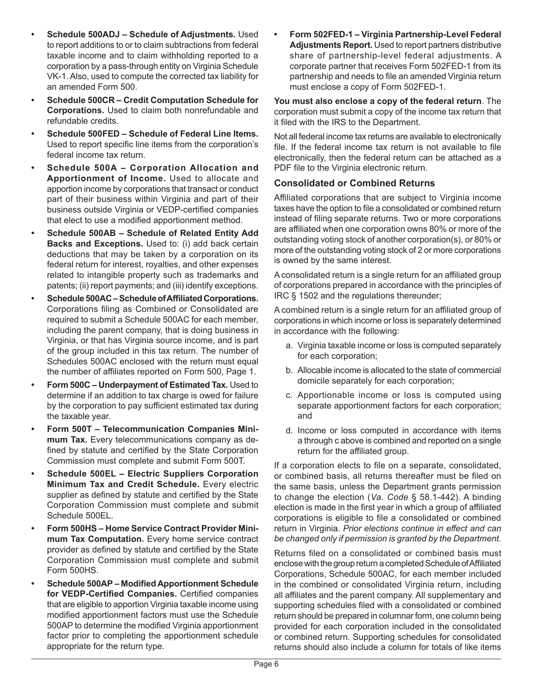- **• Schedule 500ADJ Schedule of Adjustments.** Used to report additions to or to claim subtractions from federal taxable income and to claim withholding reported to a corporation by a pass-through entity on Virginia Schedule VK-1. Also, used to compute the corrected tax liability for an amended Form 500.
- **• Schedule 500CR Credit Computation Schedule for Corporations.** Used to claim both nonrefundable and refundable credits.
- **• Schedule 500FED Schedule of Federal Line Items.**  Used to report specific line items from the corporation's federal income tax return.
- **• Schedule 500A – Corporation Allocation and Apportionment of Income.** Used to allocate and apportion income by corporations that transact or conduct part of their business within Virginia and part of their business outside Virginia or VEDP-certified companies that elect to use a modified apportionment method.
- **• Schedule 500AB Schedule of Related Entity Add Backs and Exceptions.** Used to: (i) add back certain deductions that may be taken by a corporation on its federal return for interest, royalties, and other expenses related to intangible property such as trademarks and patents; (ii) report payments; and (iii) identify exceptions.
- **• Schedule 500AC Schedule of Affiliated Corporations.** Corporations filing as Combined or Consolidated are required to submit a Schedule 500AC for each member, including the parent company, that is doing business in Virginia, or that has Virginia source income, and is part of the group included in this tax return. The number of Schedules 500AC enclosed with the return must equal the number of affiliates reported on Form 500, Page 1.
- **• Form 500C Underpayment of Estimated Tax.** Used to determine if an addition to tax charge is owed for failure by the corporation to pay sufficient estimated tax during the taxable year.
- **• Form 500T Telecommunication Companies Minimum Tax.** Every telecommunications company as defined by statute and certified by the State Corporation Commission must complete and submit Form 500T.
- **• Schedule 500EL – Electric Suppliers Corporation Minimum Tax and Credit Schedule.** Every electric supplier as defined by statute and certified by the State Corporation Commission must complete and submit Schedule 500EL.
- **• Form 500HS Home Service Contract Provider Minimum Tax Computation.** Every home service contract provider as defined by statute and certified by the State Corporation Commission must complete and submit Form 500HS.
- **• Schedule 500AP Modified Apportionment Schedule for VEDP-Certified Companies.** Certified companies that are eligible to apportion Virginia taxable income using modified apportionment factors must use the Schedule 500AP to determine the modified Virginia apportionment factor prior to completing the apportionment schedule appropriate for the return type.

**• Form 502FED-1 – Virginia Partnership-Level Federal Adjustments Report.** Used to report partners distributive share of partnership-level federal adjustments. A corporate partner that receives Form 502FED-1 from its partnership and needs to file an amended Virginia return must enclose a copy of Form 502FED-1.

**You must also enclose a copy of the federal return**. The corporation must submit a copy of the income tax return that it filed with the IRS to the Department.

Not all federal income tax returns are available to electronically file. If the federal income tax return is not available to file electronically, then the federal return can be attached as a PDF file to the Virginia electronic return.

## **Consolidated or Combined Returns**

Affiliated corporations that are subject to Virginia income taxes have the option to file a consolidated or combined return instead of filing separate returns. Two or more corporations are affiliated when one corporation owns 80% or more of the outstanding voting stock of another corporation(s), or 80% or more of the outstanding voting stock of 2 or more corporations is owned by the same interest.

A consolidated return is a single return for an affiliated group of corporations prepared in accordance with the principles of IRC § 1502 and the regulations thereunder;

A combined return is a single return for an affiliated group of corporations in which income or loss is separately determined in accordance with the following:

- a. Virginia taxable income or loss is computed separately for each corporation;
- b. Allocable income is allocated to the state of commercial domicile separately for each corporation;
- c. Apportionable income or loss is computed using separate apportionment factors for each corporation; and
- d. Income or loss computed in accordance with items a through c above is combined and reported on a single return for the affiliated group.

If a corporation elects to file on a separate, consolidated, or combined basis, all returns thereafter must be filed on the same basis, unless the Department grants permission to change the election (*Va. Code* § 58.1-442). A binding election is made in the first year in which a group of affiliated corporations is eligible to file a consolidated or combined return in Virginia. *Prior elections continue in effect and can be changed only if permission is granted by the Department.*

Returns filed on a consolidated or combined basis must enclose with the group return a completed Schedule of Affiliated Corporations, Schedule 500AC, for each member included in the combined or consolidated Virginia return, including all affiliates and the parent company. All supplementary and supporting schedules filed with a consolidated or combined return should be prepared in columnar form, one column being provided for each corporation included in the consolidated or combined return. Supporting schedules for consolidated returns should also include a column for totals of like items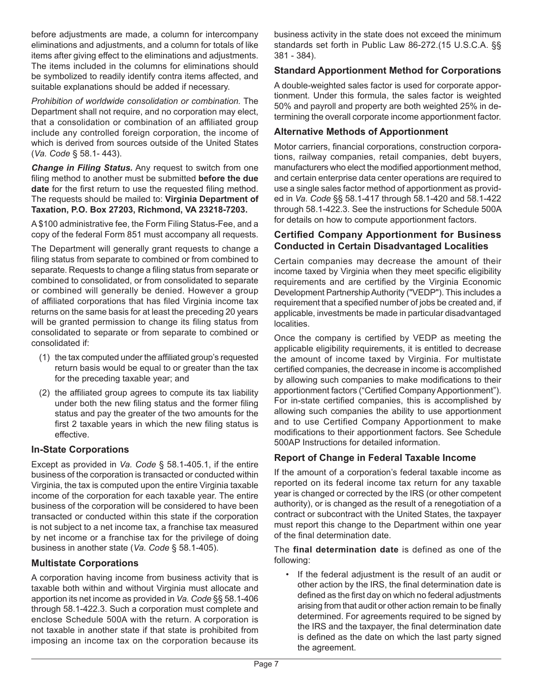before adjustments are made, a column for intercompany eliminations and adjustments, and a column for totals of like items after giving effect to the eliminations and adjustments. The items included in the columns for eliminations should be symbolized to readily identify contra items affected, and suitable explanations should be added if necessary.

*Prohibition of worldwide consolidation or combination.* The Department shall not require, and no corporation may elect, that a consolidation or combination of an affiliated group include any controlled foreign corporation, the income of which is derived from sources outside of the United States (*Va. Code* § 58.1- 443).

*Change in Filing Status.* Any request to switch from one filing method to another must be submitted **before the due date** for the first return to use the requested filing method. The requests should be mailed to: **Virginia Department of Taxation, P.O. Box 27203, Richmond, VA 23218-7203.**

A \$100 administrative fee, the Form Filing Status-Fee, and a copy of the federal Form 851 must accompany all requests.

The Department will generally grant requests to change a filing status from separate to combined or from combined to separate. Requests to change a filing status from separate or combined to consolidated, or from consolidated to separate or combined will generally be denied. However a group of affiliated corporations that has filed Virginia income tax returns on the same basis for at least the preceding 20 years will be granted permission to change its filing status from consolidated to separate or from separate to combined or consolidated if:

- (1) the tax computed under the affiliated group's requested return basis would be equal to or greater than the tax for the preceding taxable year; and
- (2) the affiliated group agrees to compute its tax liability under both the new filing status and the former filing status and pay the greater of the two amounts for the first 2 taxable years in which the new filing status is effective.

## **In-State Corporations**

Except as provided in *Va. Code* § 58.1-405.1, if the entire business of the corporation is transacted or conducted within Virginia, the tax is computed upon the entire Virginia taxable income of the corporation for each taxable year. The entire business of the corporation will be considered to have been transacted or conducted within this state if the corporation is not subject to a net income tax, a franchise tax measured by net income or a franchise tax for the privilege of doing business in another state (*Va. Code* § 58.1-405).

#### **Multistate Corporations**

A corporation having income from business activity that is taxable both within and without Virginia must allocate and apportion its net income as provided in *Va. Code* §§ 58.1-406 through 58.1-422.3. Such a corporation must complete and enclose Schedule 500A with the return. A corporation is not taxable in another state if that state is prohibited from imposing an income tax on the corporation because its

business activity in the state does not exceed the minimum standards set forth in Public Law 86-272.(15 U.S.C.A. §§ 381 - 384).

## **Standard Apportionment Method for Corporations**

A double-weighted sales factor is used for corporate apportionment. Under this formula, the sales factor is weighted 50% and payroll and property are both weighted 25% in determining the overall corporate income apportionment factor.

#### **Alternative Methods of Apportionment**

Motor carriers, financial corporations, construction corporations, railway companies, retail companies, debt buyers, manufacturers who elect the modified apportionment method, and certain enterprise data center operations are required to use a single sales factor method of apportionment as provided in *Va. Code* §§ 58.1-417 through 58.1-420 and 58.1-422 through 58.1-422.3. See the instructions for Schedule 500A for details on how to compute apportionment factors.

#### **Certified Company Apportionment for Business Conducted in Certain Disadvantaged Localities**

Certain companies may decrease the amount of their income taxed by Virginia when they meet specific eligibility requirements and are certified by the Virginia Economic Development Partnership Authority ("VEDP"). This includes a requirement that a specified number of jobs be created and, if applicable, investments be made in particular disadvantaged localities.

Once the company is certified by VEDP as meeting the applicable eligibility requirements, it is entitled to decrease the amount of income taxed by Virginia. For multistate certified companies, the decrease in income is accomplished by allowing such companies to make modifications to their apportionment factors ("Certified Company Apportionment"). For in-state certified companies, this is accomplished by allowing such companies the ability to use apportionment and to use Certified Company Apportionment to make modifications to their apportionment factors. See Schedule 500AP Instructions for detailed information.

## **Report of Change in Federal Taxable Income**

If the amount of a corporation's federal taxable income as reported on its federal income tax return for any taxable year is changed or corrected by the IRS (or other competent authority), or is changed as the result of a renegotiation of a contract or subcontract with the United States, the taxpayer must report this change to the Department within one year of the final determination date.

The **final determination date** is defined as one of the following:

• If the federal adjustment is the result of an audit or other action by the IRS, the final determination date is defined as the first day on which no federal adjustments arising from that audit or other action remain to be finally determined. For agreements required to be signed by the IRS and the taxpayer, the final determination date is defined as the date on which the last party signed the agreement.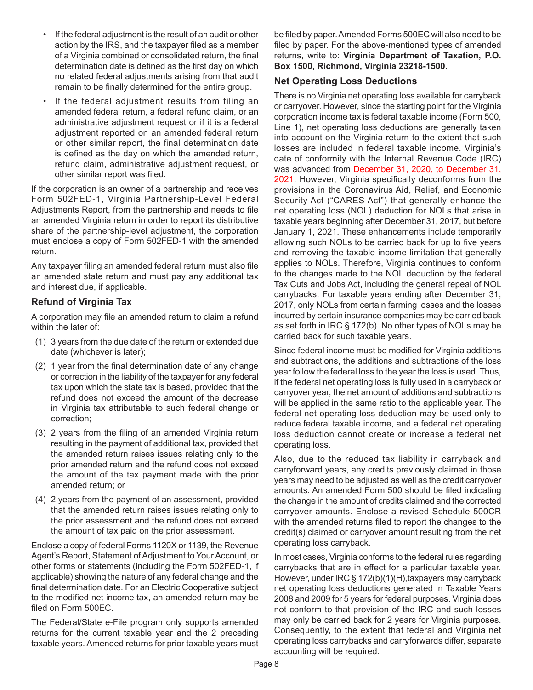- If the federal adjustment is the result of an audit or other action by the IRS, and the taxpayer filed as a member of a Virginia combined or consolidated return, the final determination date is defined as the first day on which no related federal adjustments arising from that audit remain to be finally determined for the entire group.
- If the federal adjustment results from filing an amended federal return, a federal refund claim, or an administrative adjustment request or if it is a federal adjustment reported on an amended federal return or other similar report, the final determination date is defined as the day on which the amended return, refund claim, administrative adjustment request, or other similar report was filed.

If the corporation is an owner of a partnership and receives Form 502FED-1, Virginia Partnership-Level Federal Adjustments Report, from the partnership and needs to file an amended Virginia return in order to report its distributive share of the partnership-level adjustment, the corporation must enclose a copy of Form 502FED-1 with the amended return.

Any taxpayer filing an amended federal return must also file an amended state return and must pay any additional tax and interest due, if applicable.

## **Refund of Virginia Tax**

A corporation may file an amended return to claim a refund within the later of:

- (1) 3 years from the due date of the return or extended due date (whichever is later);
- (2) 1 year from the final determination date of any change or correction in the liability of the taxpayer for any federal tax upon which the state tax is based, provided that the refund does not exceed the amount of the decrease in Virginia tax attributable to such federal change or correction;
- (3) 2 years from the filing of an amended Virginia return resulting in the payment of additional tax, provided that the amended return raises issues relating only to the prior amended return and the refund does not exceed the amount of the tax payment made with the prior amended return; or
- (4) 2 years from the payment of an assessment, provided that the amended return raises issues relating only to the prior assessment and the refund does not exceed the amount of tax paid on the prior assessment.

Enclose a copy of federal Forms 1120X or 1139, the Revenue Agent's Report, Statement of Adjustment to Your Account, or other forms or statements (including the Form 502FED-1, if applicable) showing the nature of any federal change and the final determination date. For an Electric Cooperative subject to the modified net income tax, an amended return may be filed on Form 500EC.

The Federal/State e-File program only supports amended returns for the current taxable year and the 2 preceding taxable years. Amended returns for prior taxable years must be filed by paper. Amended Forms 500EC will also need to be filed by paper. For the above-mentioned types of amended returns, write to: **Virginia Department of Taxation, P.O. Box 1500, Richmond, Virginia 23218-1500.**

## **Net Operating Loss Deductions**

There is no Virginia net operating loss available for carryback or carryover. However, since the starting point for the Virginia corporation income tax is federal taxable income (Form 500, Line 1), net operating loss deductions are generally taken into account on the Virginia return to the extent that such losses are included in federal taxable income. Virginia's date of conformity with the Internal Revenue Code (IRC) was advanced from December 31, 2020, to December 31, 2021. However, Virginia specifically deconforms from the provisions in the Coronavirus Aid, Relief, and Economic Security Act ("CARES Act") that generally enhance the net operating loss (NOL) deduction for NOLs that arise in taxable years beginning after December 31, 2017, but before January 1, 2021. These enhancements include temporarily allowing such NOLs to be carried back for up to five years and removing the taxable income limitation that generally applies to NOLs. Therefore, Virginia continues to conform to the changes made to the NOL deduction by the federal Tax Cuts and Jobs Act, including the general repeal of NOL carrybacks. For taxable years ending after December 31, 2017, only NOLs from certain farming losses and the losses incurred by certain insurance companies may be carried back as set forth in IRC § 172(b). No other types of NOLs may be carried back for such taxable years.

Since federal income must be modified for Virginia additions and subtractions, the additions and subtractions of the loss year follow the federal loss to the year the loss is used. Thus, if the federal net operating loss is fully used in a carryback or carryover year, the net amount of additions and subtractions will be applied in the same ratio to the applicable year. The federal net operating loss deduction may be used only to reduce federal taxable income, and a federal net operating loss deduction cannot create or increase a federal net operating loss.

Also, due to the reduced tax liability in carryback and carryforward years, any credits previously claimed in those years may need to be adjusted as well as the credit carryover amounts. An amended Form 500 should be filed indicating the change in the amount of credits claimed and the corrected carryover amounts. Enclose a revised Schedule 500CR with the amended returns filed to report the changes to the credit(s) claimed or carryover amount resulting from the net operating loss carryback.

In most cases, Virginia conforms to the federal rules regarding carrybacks that are in effect for a particular taxable year. However, under IRC § 172(b)(1)(H),taxpayers may carryback net operating loss deductions generated in Taxable Years 2008 and 2009 for 5 years for federal purposes. Virginia does not conform to that provision of the IRC and such losses may only be carried back for 2 years for Virginia purposes. Consequently, to the extent that federal and Virginia net operating loss carrybacks and carryforwards differ, separate accounting will be required.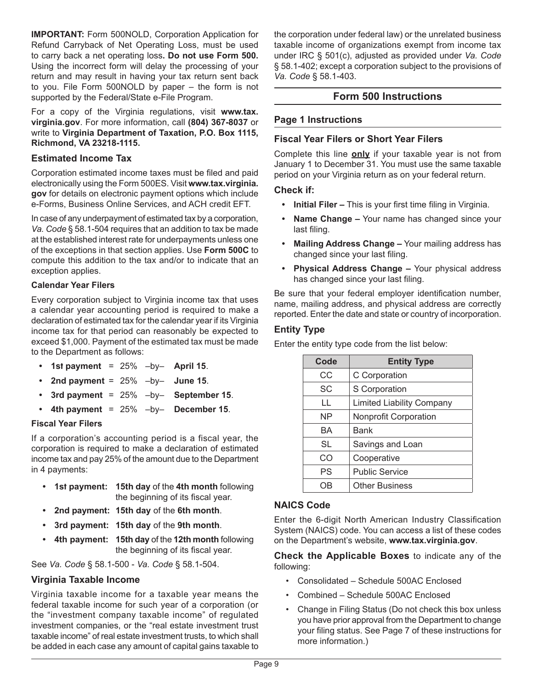**IMPORTANT:** Form 500NOLD, Corporation Application for Refund Carryback of Net Operating Loss, must be used to carry back a net operating loss**. Do not use Form 500.** Using the incorrect form will delay the processing of your return and may result in having your tax return sent back to you. File Form 500NOLD by paper – the form is not supported by the Federal/State e-File Program.

For a copy of the Virginia regulations, visit **www.tax. virginia.gov**. For more information, call **(804) 367-8037** or write to **Virginia Department of Taxation, P.O. Box 1115, Richmond, VA 23218-1115.** 

#### **Estimated Income Tax**

Corporation estimated income taxes must be filed and paid electronically using the Form 500ES. Visit **www.tax.virginia. gov** for details on electronic payment options which include e-Forms, Business Online Services, and ACH credit EFT.

In case of any underpayment of estimated tax by a corporation, *Va. Code* § 58.1-504 requires that an addition to tax be made at the established interest rate for underpayments unless one of the exceptions in that section applies. Use **Form 500C** to compute this addition to the tax and/or to indicate that an exception applies.

## **Calendar Year Filers**

Every corporation subject to Virginia income tax that uses a calendar year accounting period is required to make a declaration of estimated tax for the calendar year if its Virginia income tax for that period can reasonably be expected to exceed \$1,000. Payment of the estimated tax must be made to the Department as follows:

- **• 1st payment** = 25% –by– **April 15**.
- **• 2nd payment** = 25% –by– **June 15**.
- **• 3rd payment** = 25% –by– **September 15**.
- $\cdot$  4th payment = 25%  $-bv$  December 15.

#### **Fiscal Year Filers**

If a corporation's accounting period is a fiscal year, the corporation is required to make a declaration of estimated income tax and pay 25% of the amount due to the Department in 4 payments:

- **• 1st payment: 15th day** of the **4th month** following the beginning of its fiscal year.
- **• 2nd payment: 15th day** of the **6th month**.
- **• 3rd payment: 15th day** of the **9th month**.
- **• 4th payment: 15th day** of the **12th month** following the beginning of its fiscal year.

See *Va. Code* § 58.1-500 - *Va. Code* § 58.1-504.

## **Virginia Taxable Income**

Virginia taxable income for a taxable year means the federal taxable income for such year of a corporation (or the "investment company taxable income" of regulated investment companies, or the "real estate investment trust taxable income" of real estate investment trusts, to which shall be added in each case any amount of capital gains taxable to

the corporation under federal law) or the unrelated business taxable income of organizations exempt from income tax under IRC § 501(c), adjusted as provided under *Va. Code* § 58.1-402; except a corporation subject to the provisions of *Va. Code* § 58.1-403.

## **Form 500 Instructions**

#### **Page 1 Instructions**

#### **Fiscal Year Filers or Short Year Filers**

Complete this line **only** if your taxable year is not from January 1 to December 31. You must use the same taxable period on your Virginia return as on your federal return.

#### **Check if:**

- **• Initial Filer –** This is your first time filing in Virginia.
- **• Name Change –** Your name has changed since your last filing.
- **• Mailing Address Change –** Your mailing address has changed since your last filing.
- **• Physical Address Change –** Your physical address has changed since your last filing.

Be sure that your federal employer identification number, name, mailing address, and physical address are correctly reported. Enter the date and state or country of incorporation.

#### **Entity Type**

Enter the entity type code from the list below:

| Code      | <b>Entity Type</b>               |
|-----------|----------------------------------|
| СC        | C Corporation                    |
| <b>SC</b> | S Corporation                    |
| LL        | <b>Limited Liability Company</b> |
| ΝP        | <b>Nonprofit Corporation</b>     |
| BA        | Bank                             |
| <b>SL</b> | Savings and Loan                 |
| CO        | Cooperative                      |
| PS        | <b>Public Service</b>            |
|           | <b>Other Business</b>            |

#### **NAICS Code**

Enter the 6-digit North American Industry Classification System (NAICS) code. You can access a list of these codes on the Department's website, **www.tax.virginia.gov**.

**Check the Applicable Boxes** to indicate any of the following:

- Consolidated Schedule 500AC Enclosed
- Combined Schedule 500AC Enclosed
- Change in Filing Status (Do not check this box unless you have prior approval from the Department to change your filing status. See Page 7 of these instructions for more information.)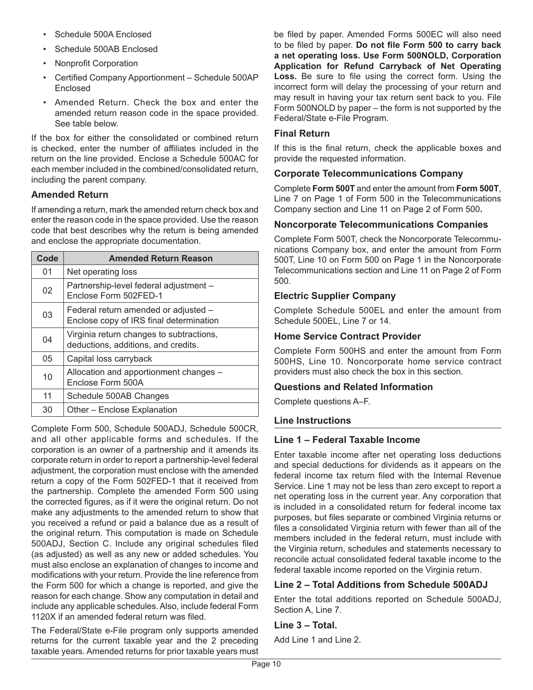- Schedule 500A Enclosed
- Schedule 500AB Enclosed
- Nonprofit Corporation
- Certified Company Apportionment Schedule 500AP Enclosed
- Amended Return. Check the box and enter the amended return reason code in the space provided. See table below.

If the box for either the consolidated or combined return is checked, enter the number of affiliates included in the return on the line provided. Enclose a Schedule 500AC for each member included in the combined/consolidated return, including the parent company.

## **Amended Return**

If amending a return, mark the amended return check box and enter the reason code in the space provided. Use the reason code that best describes why the return is being amended and enclose the appropriate documentation.

| Code | <b>Amended Return Reason</b>                                                    |
|------|---------------------------------------------------------------------------------|
| 01   | Net operating loss                                                              |
| 02   | Partnership-level federal adjustment -<br>Enclose Form 502FED-1                 |
| 03   | Federal return amended or adjusted -<br>Enclose copy of IRS final determination |
| 04   | Virginia return changes to subtractions,<br>deductions, additions, and credits. |
| 05   | Capital loss carryback                                                          |
| 10   | Allocation and apportionment changes -<br>Enclose Form 500A                     |
| 11   | Schedule 500AB Changes                                                          |
| 30   | Other - Enclose Explanation                                                     |

Complete Form 500, Schedule 500ADJ, Schedule 500CR, and all other applicable forms and schedules. If the corporation is an owner of a partnership and it amends its corporate return in order to report a partnership-level federal adjustment, the corporation must enclose with the amended return a copy of the Form 502FED-1 that it received from the partnership. Complete the amended Form 500 using the corrected figures, as if it were the original return. Do not make any adjustments to the amended return to show that you received a refund or paid a balance due as a result of the original return. This computation is made on Schedule 500ADJ, Section C. Include any original schedules filed (as adjusted) as well as any new or added schedules. You must also enclose an explanation of changes to income and modifications with your return. Provide the line reference from the Form 500 for which a change is reported, and give the reason for each change. Show any computation in detail and include any applicable schedules. Also, include federal Form 1120X if an amended federal return was filed.

The Federal/State e-File program only supports amended returns for the current taxable year and the 2 preceding taxable years. Amended returns for prior taxable years must be filed by paper. Amended Forms 500EC will also need to be filed by paper. **Do not file Form 500 to carry back a net operating loss. Use Form 500NOLD, Corporation Application for Refund Carryback of Net Operating Loss.** Be sure to file using the correct form. Using the incorrect form will delay the processing of your return and may result in having your tax return sent back to you. File Form 500NOLD by paper – the form is not supported by the Federal/State e-File Program.

#### **Final Return**

If this is the final return, check the applicable boxes and provide the requested information.

#### **Corporate Telecommunications Company**

Complete **Form 500T** and enter the amount from **Form 500T**, Line 7 on Page 1 of Form 500 in the Telecommunications Company section and Line 11 on Page 2 of Form 500**.**

#### **Noncorporate Telecommunications Companies**

Complete Form 500T, check the Noncorporate Telecommunications Company box, and enter the amount from Form 500T, Line 10 on Form 500 on Page 1 in the Noncorporate Telecommunications section and Line 11 on Page 2 of Form 500.

#### **Electric Supplier Company**

Complete Schedule 500EL and enter the amount from Schedule 500EL, Line 7 or 14.

#### **Home Service Contract Provider**

Complete Form 500HS and enter the amount from Form 500HS, Line 10. Noncorporate home service contract providers must also check the box in this section.

#### **Questions and Related Information**

Complete questions A–F.

#### **Line Instructions**

#### **Line 1 – Federal Taxable Income**

Enter taxable income after net operating loss deductions and special deductions for dividends as it appears on the federal income tax return filed with the Internal Revenue Service. Line 1 may not be less than zero except to report a net operating loss in the current year. Any corporation that is included in a consolidated return for federal income tax purposes, but files separate or combined Virginia returns or files a consolidated Virginia return with fewer than all of the members included in the federal return, must include with the Virginia return, schedules and statements necessary to reconcile actual consolidated federal taxable income to the federal taxable income reported on the Virginia return.

#### **Line 2 – Total Additions from Schedule 500ADJ**

Enter the total additions reported on Schedule 500ADJ, Section A, Line 7.

#### **Line 3 – Total.**

Add Line 1 and Line 2.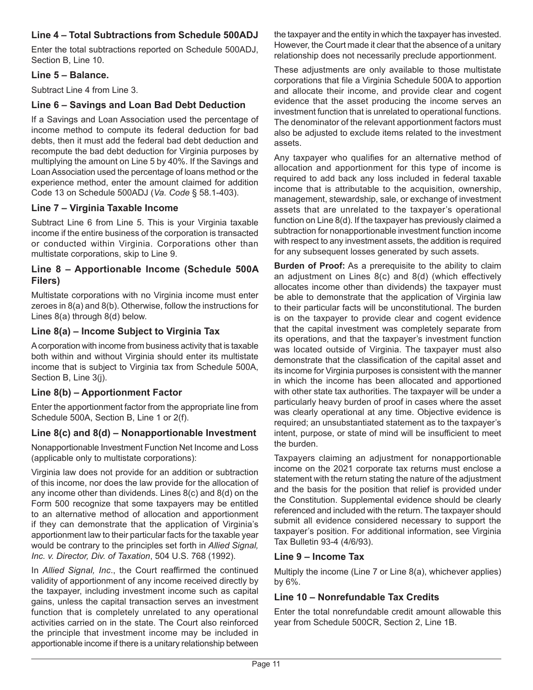## **Line 4 – Total Subtractions from Schedule 500ADJ**

Enter the total subtractions reported on Schedule 500ADJ, Section B, Line 10.

## **Line 5 – Balance.**

Subtract Line 4 from Line 3.

## **Line 6 – Savings and Loan Bad Debt Deduction**

If a Savings and Loan Association used the percentage of income method to compute its federal deduction for bad debts, then it must add the federal bad debt deduction and recompute the bad debt deduction for Virginia purposes by multiplying the amount on Line 5 by 40%. If the Savings and Loan Association used the percentage of loans method or the experience method, enter the amount claimed for addition Code 13 on Schedule 500ADJ (*Va. Code* § 58.1-403).

## **Line 7 – Virginia Taxable Income**

Subtract Line 6 from Line 5. This is your Virginia taxable income if the entire business of the corporation is transacted or conducted within Virginia. Corporations other than multistate corporations, skip to Line 9.

## **Line 8 – Apportionable Income (Schedule 500A Filers)**

Multistate corporations with no Virginia income must enter zeroes in 8(a) and 8(b). Otherwise, follow the instructions for Lines 8(a) through 8(d) below.

## **Line 8(a) – Income Subject to Virginia Tax**

A corporation with income from business activity that is taxable both within and without Virginia should enter its multistate income that is subject to Virginia tax from Schedule 500A, Section B, Line 3(j).

## **Line 8(b) – Apportionment Factor**

Enter the apportionment factor from the appropriate line from Schedule 500A, Section B, Line 1 or 2(f).

## **Line 8(c) and 8(d) – Nonapportionable Investment**

Nonapportionable Investment Function Net Income and Loss (applicable only to multistate corporations):

Virginia law does not provide for an addition or subtraction of this income, nor does the law provide for the allocation of any income other than dividends. Lines 8(c) and 8(d) on the Form 500 recognize that some taxpayers may be entitled to an alternative method of allocation and apportionment if they can demonstrate that the application of Virginia's apportionment law to their particular facts for the taxable year would be contrary to the principles set forth in *Allied Signal, Inc. v. Director, Div. of Taxation*, 504 U.S. 768 (1992).

In *Allied Signal, Inc*., the Court reaffirmed the continued validity of apportionment of any income received directly by the taxpayer, including investment income such as capital gains, unless the capital transaction serves an investment function that is completely unrelated to any operational activities carried on in the state. The Court also reinforced the principle that investment income may be included in apportionable income if there is a unitary relationship between

the taxpayer and the entity in which the taxpayer has invested. However, the Court made it clear that the absence of a unitary relationship does not necessarily preclude apportionment.

These adjustments are only available to those multistate corporations that file a Virginia Schedule 500A to apportion and allocate their income, and provide clear and cogent evidence that the asset producing the income serves an investment function that is unrelated to operational functions. The denominator of the relevant apportionment factors must also be adjusted to exclude items related to the investment assets.

Any taxpayer who qualifies for an alternative method of allocation and apportionment for this type of income is required to add back any loss included in federal taxable income that is attributable to the acquisition, ownership, management, stewardship, sale, or exchange of investment assets that are unrelated to the taxpayer's operational function on Line 8(d). If the taxpayer has previously claimed a subtraction for nonapportionable investment function income with respect to any investment assets, the addition is required for any subsequent losses generated by such assets.

**Burden of Proof:** As a prerequisite to the ability to claim an adjustment on Lines 8(c) and 8(d) (which effectively allocates income other than dividends) the taxpayer must be able to demonstrate that the application of Virginia law to their particular facts will be unconstitutional. The burden is on the taxpayer to provide clear and cogent evidence that the capital investment was completely separate from its operations, and that the taxpayer's investment function was located outside of Virginia. The taxpayer must also demonstrate that the classification of the capital asset and its income for Virginia purposes is consistent with the manner in which the income has been allocated and apportioned with other state tax authorities. The taxpayer will be under a particularly heavy burden of proof in cases where the asset was clearly operational at any time. Objective evidence is required; an unsubstantiated statement as to the taxpayer's intent, purpose, or state of mind will be insufficient to meet the burden.

Taxpayers claiming an adjustment for nonapportionable income on the 2021 corporate tax returns must enclose a statement with the return stating the nature of the adjustment and the basis for the position that relief is provided under the Constitution. Supplemental evidence should be clearly referenced and included with the return. The taxpayer should submit all evidence considered necessary to support the taxpayer's position. For additional information, see Virginia Tax Bulletin 93-4 (4/6/93).

## **Line 9 – Income Tax**

Multiply the income (Line 7 or Line 8(a), whichever applies) by 6%.

## **Line 10 – Nonrefundable Tax Credits**

Enter the total nonrefundable credit amount allowable this year from Schedule 500CR, Section 2, Line 1B.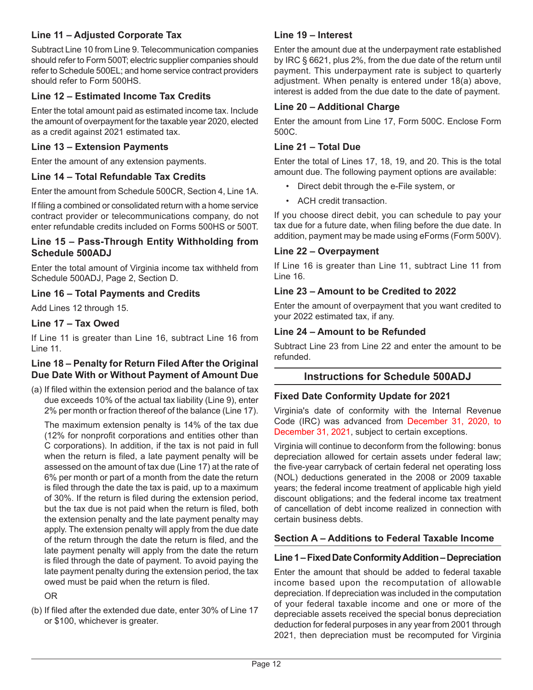## **Line 11 – Adjusted Corporate Tax**

Subtract Line 10 from Line 9. Telecommunication companies should refer to Form 500T; electric supplier companies should refer to Schedule 500EL; and home service contract providers should refer to Form 500HS.

## **Line 12 – Estimated Income Tax Credits**

Enter the total amount paid as estimated income tax. Include the amount of overpayment for the taxable year 2020, elected as a credit against 2021 estimated tax.

#### **Line 13 – Extension Payments**

Enter the amount of any extension payments.

#### **Line 14 – Total Refundable Tax Credits**

Enter the amount from Schedule 500CR, Section 4, Line 1A.

If filing a combined or consolidated return with a home service contract provider or telecommunications company, do not enter refundable credits included on Forms 500HS or 500T.

#### **Line 15 – Pass-Through Entity Withholding from Schedule 500ADJ**

Enter the total amount of Virginia income tax withheld from Schedule 500ADJ, Page 2, Section D.

#### **Line 16 – Total Payments and Credits**

Add Lines 12 through 15.

#### **Line 17 – Tax Owed**

If Line 11 is greater than Line 16, subtract Line 16 from Line 11.

#### **Line 18 – Penalty for Return Filed After the Original Due Date With or Without Payment of Amount Due**

(a) If filed within the extension period and the balance of tax due exceeds 10% of the actual tax liability (Line 9), enter 2% per month or fraction thereof of the balance (Line 17).

The maximum extension penalty is 14% of the tax due (12% for nonprofit corporations and entities other than C corporations). In addition, if the tax is not paid in full when the return is filed, a late payment penalty will be assessed on the amount of tax due (Line 17) at the rate of 6% per month or part of a month from the date the return is filed through the date the tax is paid, up to a maximum of 30%. If the return is filed during the extension period, but the tax due is not paid when the return is filed, both the extension penalty and the late payment penalty may apply. The extension penalty will apply from the due date of the return through the date the return is filed, and the late payment penalty will apply from the date the return is filed through the date of payment. To avoid paying the late payment penalty during the extension period, the tax owed must be paid when the return is filed.

OR

(b) If filed after the extended due date, enter 30% of Line 17 or \$100, whichever is greater.

#### **Line 19 – Interest**

Enter the amount due at the underpayment rate established by IRC § 6621, plus 2%, from the due date of the return until payment. This underpayment rate is subject to quarterly adjustment. When penalty is entered under 18(a) above, interest is added from the due date to the date of payment.

#### **Line 20 – Additional Charge**

Enter the amount from Line 17, Form 500C. Enclose Form 500C.

#### **Line 21 – Total Due**

Enter the total of Lines 17, 18, 19, and 20. This is the total amount due. The following payment options are available:

- Direct debit through the e-File system, or
- ACH credit transaction.

If you choose direct debit, you can schedule to pay your tax due for a future date, when filing before the due date. In addition, payment may be made using eForms (Form 500V).

#### **Line 22 – Overpayment**

If Line 16 is greater than Line 11, subtract Line 11 from Line 16.

#### **Line 23 – Amount to be Credited to 2022**

Enter the amount of overpayment that you want credited to your 2022 estimated tax, if any.

#### **Line 24 – Amount to be Refunded**

Subtract Line 23 from Line 22 and enter the amount to be refunded.

#### **Instructions for Schedule 500ADJ**

#### **Fixed Date Conformity Update for 2021**

Virginia's date of conformity with the Internal Revenue Code (IRC) was advanced from December 31, 2020, to December 31, 2021, subject to certain exceptions.

Virginia will continue to deconform from the following: bonus depreciation allowed for certain assets under federal law; the five-year carryback of certain federal net operating loss (NOL) deductions generated in the 2008 or 2009 taxable years; the federal income treatment of applicable high yield discount obligations; and the federal income tax treatment of cancellation of debt income realized in connection with certain business debts.

#### **Section A – Additions to Federal Taxable Income**

#### **Line 1 – Fixed Date Conformity Addition – Depreciation**

Enter the amount that should be added to federal taxable income based upon the recomputation of allowable depreciation. If depreciation was included in the computation of your federal taxable income and one or more of the depreciable assets received the special bonus depreciation deduction for federal purposes in any year from 2001 through 2021, then depreciation must be recomputed for Virginia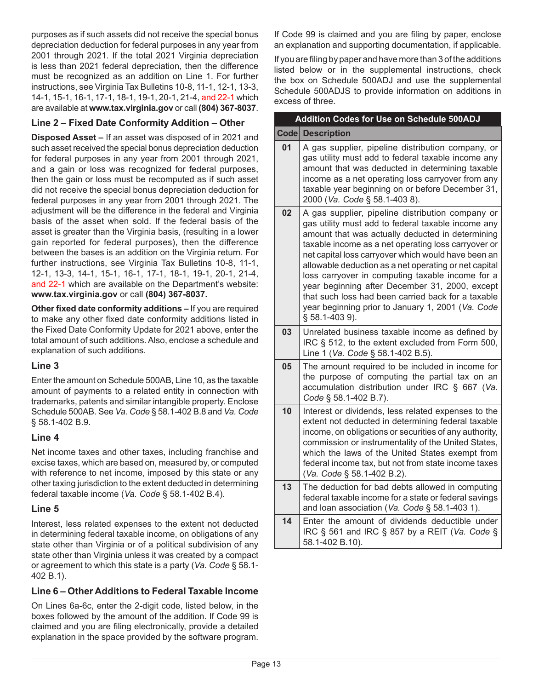purposes as if such assets did not receive the special bonus depreciation deduction for federal purposes in any year from 2001 through 2021. If the total 2021 Virginia depreciation is less than 2021 federal depreciation, then the difference must be recognized as an addition on Line 1. For further instructions, see Virginia Tax Bulletins 10-8, 11-1, 12-1, 13-3, 14-1, 15-1, 16-1, 17-1, 18-1, 19-1, 20-1, 21-4, and 22-1 which are available at **www.tax.virginia.gov** or call **(804) 367-8037**.

## **Line 2 – Fixed Date Conformity Addition – Other**

**Disposed Asset –** If an asset was disposed of in 2021 and such asset received the special bonus depreciation deduction for federal purposes in any year from 2001 through 2021, and a gain or loss was recognized for federal purposes, then the gain or loss must be recomputed as if such asset did not receive the special bonus depreciation deduction for federal purposes in any year from 2001 through 2021. The adjustment will be the difference in the federal and Virginia basis of the asset when sold. If the federal basis of the asset is greater than the Virginia basis, (resulting in a lower gain reported for federal purposes), then the difference between the bases is an addition on the Virginia return. For further instructions, see Virginia Tax Bulletins 10-8, 11-1, 12-1, 13-3, 14-1, 15-1, 16-1, 17-1, 18-1, 19-1, 20-1, 21-4, and 22-1 which are available on the Department's website: **www.tax.virginia.gov** or call **(804) 367-8037.** 

**Other fixed date conformity additions –** If you are required to make any other fixed date conformity additions listed in the Fixed Date Conformity Update for 2021 above, enter the total amount of such additions. Also, enclose a schedule and explanation of such additions.

## **Line 3**

Enter the amount on Schedule 500AB, Line 10, as the taxable amount of payments to a related entity in connection with trademarks, patents and similar intangible property. Enclose Schedule 500AB. See *Va. Code* § 58.1-402 B.8 and *Va. Code* § 58.1-402 B.9.

## **Line 4**

Net income taxes and other taxes, including franchise and excise taxes, which are based on, measured by, or computed with reference to net income, imposed by this state or any other taxing jurisdiction to the extent deducted in determining federal taxable income (*Va. Code* § 58.1-402 B.4).

## **Line 5**

Interest, less related expenses to the extent not deducted in determining federal taxable income, on obligations of any state other than Virginia or of a political subdivision of any state other than Virginia unless it was created by a compact or agreement to which this state is a party (*Va. Code* § 58.1- 402 B.1).

## **Line 6 – Other Additions to Federal Taxable Income**

On Lines 6a-6c, enter the 2-digit code, listed below, in the boxes followed by the amount of the addition. If Code 99 is claimed and you are filing electronically, provide a detailed explanation in the space provided by the software program.

If Code 99 is claimed and you are filing by paper, enclose an explanation and supporting documentation, if applicable.

If you are filing by paper and have more than 3 of the additions listed below or in the supplemental instructions, check the box on Schedule 500ADJ and use the supplemental Schedule 500ADJS to provide information on additions in excess of three.

|             | Addition Codes for Use on Schedule 500ADJ                                                                                                                                                                                                                                                                                                                                                                                                                                                                                                                            |
|-------------|----------------------------------------------------------------------------------------------------------------------------------------------------------------------------------------------------------------------------------------------------------------------------------------------------------------------------------------------------------------------------------------------------------------------------------------------------------------------------------------------------------------------------------------------------------------------|
| <b>Code</b> | <b>Description</b>                                                                                                                                                                                                                                                                                                                                                                                                                                                                                                                                                   |
| 01          | A gas supplier, pipeline distribution company, or<br>gas utility must add to federal taxable income any<br>amount that was deducted in determining taxable<br>income as a net operating loss carryover from any<br>taxable year beginning on or before December 31,<br>2000 (Va. Code § 58.1-403 8).                                                                                                                                                                                                                                                                 |
| 02          | A gas supplier, pipeline distribution company or<br>gas utility must add to federal taxable income any<br>amount that was actually deducted in determining<br>taxable income as a net operating loss carryover or<br>net capital loss carryover which would have been an<br>allowable deduction as a net operating or net capital<br>loss carryover in computing taxable income for a<br>year beginning after December 31, 2000, except<br>that such loss had been carried back for a taxable<br>year beginning prior to January 1, 2001 (Va. Code<br>§ 58.1-403 9). |
| 03          | Unrelated business taxable income as defined by<br>IRC § 512, to the extent excluded from Form 500,<br>Line 1 (Va. Code § 58.1-402 B.5).                                                                                                                                                                                                                                                                                                                                                                                                                             |
| 05          | The amount required to be included in income for<br>the purpose of computing the partial tax on an<br>accumulation distribution under IRC § 667 (Va.<br>Code § 58.1-402 B.7).                                                                                                                                                                                                                                                                                                                                                                                        |
| 10          | Interest or dividends, less related expenses to the<br>extent not deducted in determining federal taxable<br>income, on obligations or securities of any authority,<br>commission or instrumentality of the United States,<br>which the laws of the United States exempt from<br>federal income tax, but not from state income taxes<br>(Va. Code § 58.1-402 B.2).                                                                                                                                                                                                   |
| 13          | The deduction for bad debts allowed in computing<br>federal taxable income for a state or federal savings<br>and loan association (Va. Code § 58.1-403 1).                                                                                                                                                                                                                                                                                                                                                                                                           |
| 14          | Enter the amount of dividends deductible under<br>IRC § 561 and IRC § 857 by a REIT (Va. Code §<br>58.1-402 B.10).                                                                                                                                                                                                                                                                                                                                                                                                                                                   |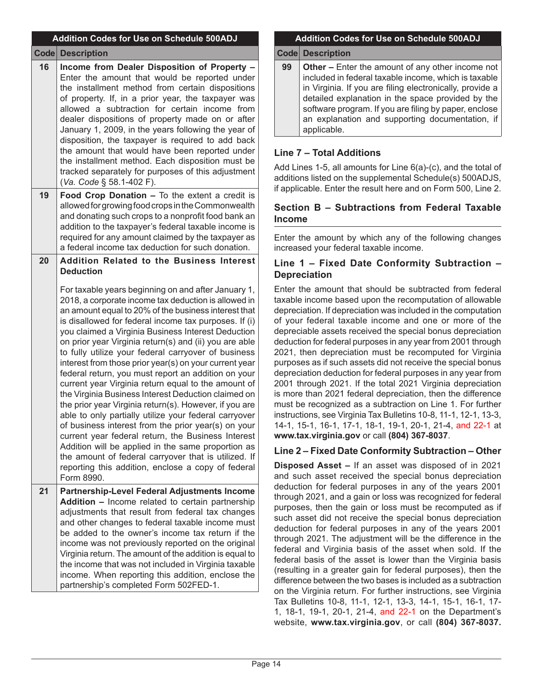|               | <b>Addition Codes for Use on Schedule 500ADJ</b>                                                                                                                                                                                                                                                                                                                                                                                                                                                                                                                                                                                                                                                                                                                                                                                                                                                                                                                                                                                                                                                                             |
|---------------|------------------------------------------------------------------------------------------------------------------------------------------------------------------------------------------------------------------------------------------------------------------------------------------------------------------------------------------------------------------------------------------------------------------------------------------------------------------------------------------------------------------------------------------------------------------------------------------------------------------------------------------------------------------------------------------------------------------------------------------------------------------------------------------------------------------------------------------------------------------------------------------------------------------------------------------------------------------------------------------------------------------------------------------------------------------------------------------------------------------------------|
| $\text{Code}$ | <b>Description</b>                                                                                                                                                                                                                                                                                                                                                                                                                                                                                                                                                                                                                                                                                                                                                                                                                                                                                                                                                                                                                                                                                                           |
| 16            | Income from Dealer Disposition of Property -<br>Enter the amount that would be reported under<br>the installment method from certain dispositions<br>of property. If, in a prior year, the taxpayer was<br>allowed a subtraction for certain income from<br>dealer dispositions of property made on or after<br>January 1, 2009, in the years following the year of<br>disposition, the taxpayer is required to add back<br>the amount that would have been reported under<br>the installment method. Each disposition must be<br>tracked separately for purposes of this adjustment<br>(Va. Code § 58.1-402 F).                                                                                                                                                                                                                                                                                                                                                                                                                                                                                                             |
| 19            | Food Crop Donation - To the extent a credit is<br>allowed for growing food crops in the Commonwealth<br>and donating such crops to a nonprofit food bank an<br>addition to the taxpayer's federal taxable income is<br>required for any amount claimed by the taxpayer as<br>a federal income tax deduction for such donation.                                                                                                                                                                                                                                                                                                                                                                                                                                                                                                                                                                                                                                                                                                                                                                                               |
| 20            | <b>Addition Related to the Business Interest</b><br><b>Deduction</b><br>For taxable years beginning on and after January 1,<br>2018, a corporate income tax deduction is allowed in<br>an amount equal to 20% of the business interest that<br>is disallowed for federal income tax purposes. If (i)<br>you claimed a Virginia Business Interest Deduction<br>on prior year Virginia return(s) and (ii) you are able<br>to fully utilize your federal carryover of business<br>interest from those prior year(s) on your current year<br>federal return, you must report an addition on your<br>current year Virginia return equal to the amount of<br>the Virginia Business Interest Deduction claimed on<br>the prior year Virginia return(s). However, if you are<br>able to only partially utilize your federal carryover<br>of business interest from the prior year(s) on your<br>current year federal return, the Business Interest<br>Addition will be applied in the same proportion as<br>the amount of federal carryover that is utilized. If<br>reporting this addition, enclose a copy of federal<br>Form 8990. |
| 21            | Partnership-Level Federal Adjustments Income<br>Addition - Income related to certain partnership<br>adjustments that result from federal tax changes<br>and other changes to federal taxable income must<br>be added to the owner's income tax return if the<br>income was not previously reported on the original<br>Virginia return. The amount of the addition is equal to<br>the income that was not included in Virginia taxable<br>income. When reporting this addition, enclose the<br>partnership's completed Form 502FED-1.                                                                                                                                                                                                                                                                                                                                                                                                                                                                                                                                                                                         |

## **Addition Codes for Use on Schedule 500ADJ**

**Code Description**

**99** Other – Enter the amount of any other income not included in federal taxable income, which is taxable in Virginia. If you are filing electronically, provide a detailed explanation in the space provided by the software program. If you are filing by paper, enclose an explanation and supporting documentation, if applicable.

## **Line 7 – Total Additions**

Add Lines 1-5, all amounts for Line 6(a)-(c), and the total of additions listed on the supplemental Schedule(s) 500ADJS, if applicable. Enter the result here and on Form 500, Line 2.

## **Section B – Subtractions from Federal Taxable Income**

Enter the amount by which any of the following changes increased your federal taxable income.

## **Line 1 – Fixed Date Conformity Subtraction – Depreciation**

Enter the amount that should be subtracted from federal taxable income based upon the recomputation of allowable depreciation. If depreciation was included in the computation of your federal taxable income and one or more of the depreciable assets received the special bonus depreciation deduction for federal purposes in any year from 2001 through 2021, then depreciation must be recomputed for Virginia purposes as if such assets did not receive the special bonus depreciation deduction for federal purposes in any year from 2001 through 2021. If the total 2021 Virginia depreciation is more than 2021 federal depreciation, then the difference must be recognized as a subtraction on Line 1. For further instructions, see Virginia Tax Bulletins 10-8, 11-1, 12-1, 13-3, 14-1, 15-1, 16-1, 17-1, 18-1, 19-1, 20-1, 21-4, and 22-1 at **www.tax.virginia.gov** or call **(804) 367-8037**.

## **Line 2 – Fixed Date Conformity Subtraction – Other**

**Disposed Asset –** If an asset was disposed of in 2021 and such asset received the special bonus depreciation deduction for federal purposes in any of the years 2001 through 2021, and a gain or loss was recognized for federal purposes, then the gain or loss must be recomputed as if such asset did not receive the special bonus depreciation deduction for federal purposes in any of the years 2001 through 2021. The adjustment will be the difference in the federal and Virginia basis of the asset when sold. If the federal basis of the asset is lower than the Virginia basis (resulting in a greater gain for federal purposes), then the difference between the two bases is included as a subtraction on the Virginia return. For further instructions, see Virginia Tax Bulletins 10-8, 11-1, 12-1, 13-3, 14-1, 15-1, 16-1, 17- 1, 18-1, 19-1, 20-1, 21-4, and 22-1 on the Department's website, **www.tax.virginia.gov**, or call **(804) 367-8037.**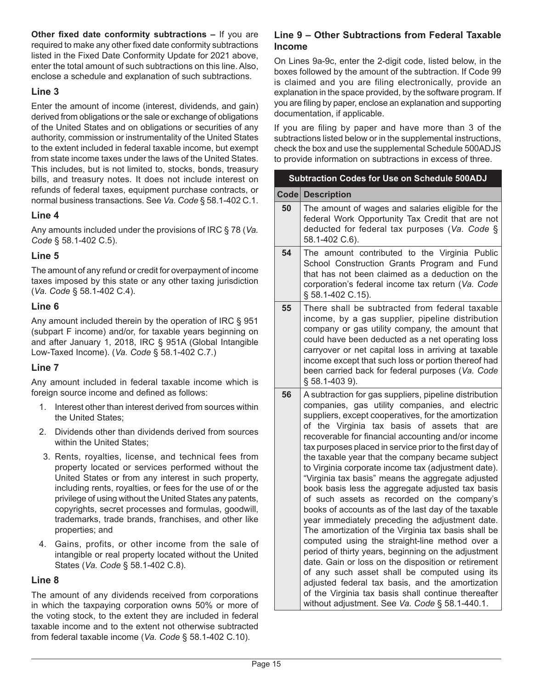**Other fixed date conformity subtractions –** If you are required to make any other fixed date conformity subtractions listed in the Fixed Date Conformity Update for 2021 above, enter the total amount of such subtractions on this line. Also, enclose a schedule and explanation of such subtractions.

## **Line 3**

Enter the amount of income (interest, dividends, and gain) derived from obligations or the sale or exchange of obligations of the United States and on obligations or securities of any authority, commission or instrumentality of the United States to the extent included in federal taxable income, but exempt from state income taxes under the laws of the United States. This includes, but is not limited to, stocks, bonds, treasury bills, and treasury notes. It does not include interest on refunds of federal taxes, equipment purchase contracts, or normal business transactions. See *Va. Code* § 58.1-402 C.1.

## **Line 4**

Any amounts included under the provisions of IRC § 78 (*Va. Code* § 58.1-402 C.5).

## **Line 5**

The amount of any refund or credit for overpayment of income taxes imposed by this state or any other taxing jurisdiction (*Va. Code* § 58.1-402 C.4).

## **Line 6**

Any amount included therein by the operation of IRC § 951 (subpart F income) and/or, for taxable years beginning on and after January 1, 2018, IRC § 951A (Global Intangible Low-Taxed Income). (*Va. Code* § 58.1-402 C.7.)

## **Line 7**

Any amount included in federal taxable income which is foreign source income and defined as follows:

- 1. Interest other than interest derived from sources within the United States;
- 2. Dividends other than dividends derived from sources within the United States;
- 3. Rents, royalties, license, and technical fees from property located or services performed without the United States or from any interest in such property, including rents, royalties, or fees for the use of or the privilege of using without the United States any patents, copyrights, secret processes and formulas, goodwill, trademarks, trade brands, franchises, and other like properties; and
- 4. Gains, profits, or other income from the sale of intangible or real property located without the United States (*Va. Code* § 58.1-402 C.8).

## **Line 8**

The amount of any dividends received from corporations in which the taxpaying corporation owns 50% or more of the voting stock, to the extent they are included in federal taxable income and to the extent not otherwise subtracted from federal taxable income (*Va. Code* § 58.1-402 C.10).

## **Line 9 – Other Subtractions from Federal Taxable Income**

On Lines 9a-9c, enter the 2-digit code, listed below, in the boxes followed by the amount of the subtraction. If Code 99 is claimed and you are filing electronically, provide an explanation in the space provided, by the software program. If you are filing by paper, enclose an explanation and supporting documentation, if applicable.

If you are filing by paper and have more than 3 of the subtractions listed below or in the supplemental instructions, check the box and use the supplemental Schedule 500ADJS to provide information on subtractions in excess of three.

|      | Subtraction Codes for Use on Schedule 500ADJ                                                                                                                                                                                                                                                                                                                                                                                                                                                                                                                                                                                                                                                                                                                                                                                                                                                                                                                                                                                                                                                                                                            |
|------|---------------------------------------------------------------------------------------------------------------------------------------------------------------------------------------------------------------------------------------------------------------------------------------------------------------------------------------------------------------------------------------------------------------------------------------------------------------------------------------------------------------------------------------------------------------------------------------------------------------------------------------------------------------------------------------------------------------------------------------------------------------------------------------------------------------------------------------------------------------------------------------------------------------------------------------------------------------------------------------------------------------------------------------------------------------------------------------------------------------------------------------------------------|
| Code | <b>Description</b>                                                                                                                                                                                                                                                                                                                                                                                                                                                                                                                                                                                                                                                                                                                                                                                                                                                                                                                                                                                                                                                                                                                                      |
| 50   | The amount of wages and salaries eligible for the<br>federal Work Opportunity Tax Credit that are not<br>deducted for federal tax purposes (Va. Code §<br>58.1-402 C.6).                                                                                                                                                                                                                                                                                                                                                                                                                                                                                                                                                                                                                                                                                                                                                                                                                                                                                                                                                                                |
| 54   | The amount contributed to the Virginia Public<br>School Construction Grants Program and Fund<br>that has not been claimed as a deduction on the<br>corporation's federal income tax return (Va. Code<br>§ 58.1-402 C.15).                                                                                                                                                                                                                                                                                                                                                                                                                                                                                                                                                                                                                                                                                                                                                                                                                                                                                                                               |
| 55   | There shall be subtracted from federal taxable<br>income, by a gas supplier, pipeline distribution<br>company or gas utility company, the amount that<br>could have been deducted as a net operating loss<br>carryover or net capital loss in arriving at taxable<br>income except that such loss or portion thereof had<br>been carried back for federal purposes (Va. Code<br>§ 58.1-403 9).                                                                                                                                                                                                                                                                                                                                                                                                                                                                                                                                                                                                                                                                                                                                                          |
| 56   | A subtraction for gas suppliers, pipeline distribution<br>companies, gas utility companies, and electric<br>suppliers, except cooperatives, for the amortization<br>of the Virginia tax basis of assets<br>that are<br>recoverable for financial accounting and/or income<br>tax purposes placed in service prior to the first day of<br>the taxable year that the company became subject<br>to Virginia corporate income tax (adjustment date).<br>"Virginia tax basis" means the aggregate adjusted<br>book basis less the aggregate adjusted tax basis<br>of such assets as recorded on the company's<br>books of accounts as of the last day of the taxable<br>year immediately preceding the adjustment date.<br>The amortization of the Virginia tax basis shall be<br>computed using the straight-line method over a<br>period of thirty years, beginning on the adjustment<br>date. Gain or loss on the disposition or retirement<br>of any such asset shall be computed using its<br>adjusted federal tax basis, and the amortization<br>of the Virginia tax basis shall continue thereafter<br>without adjustment. See Va. Code § 58.1-440.1. |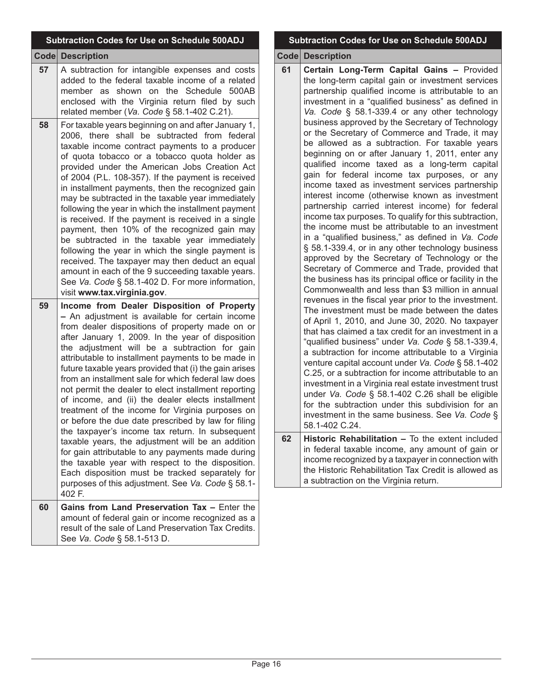|             | Subtraction Codes for Use on Schedule 500ADJ                                                                                                                                                                                                                                                                                                                                                                                                                                                                                                                                                                                                                                                                                                                                                                                                                                                                                                                                              |
|-------------|-------------------------------------------------------------------------------------------------------------------------------------------------------------------------------------------------------------------------------------------------------------------------------------------------------------------------------------------------------------------------------------------------------------------------------------------------------------------------------------------------------------------------------------------------------------------------------------------------------------------------------------------------------------------------------------------------------------------------------------------------------------------------------------------------------------------------------------------------------------------------------------------------------------------------------------------------------------------------------------------|
| <b>Code</b> | <b>Description</b>                                                                                                                                                                                                                                                                                                                                                                                                                                                                                                                                                                                                                                                                                                                                                                                                                                                                                                                                                                        |
| 57          | A subtraction for intangible expenses and costs<br>added to the federal taxable income of a related<br>member as shown on the Schedule 500AB<br>enclosed with the Virginia return filed by such<br>related member (Va. Code § 58.1-402 C.21).                                                                                                                                                                                                                                                                                                                                                                                                                                                                                                                                                                                                                                                                                                                                             |
| 58          | For taxable years beginning on and after January 1,<br>2006, there shall be subtracted from federal<br>taxable income contract payments to a producer<br>of quota tobacco or a tobacco quota holder as<br>provided under the American Jobs Creation Act<br>of 2004 (P.L. 108-357). If the payment is received<br>in installment payments, then the recognized gain<br>may be subtracted in the taxable year immediately<br>following the year in which the installment payment<br>is received. If the payment is received in a single<br>payment, then 10% of the recognized gain may<br>be subtracted in the taxable year immediately<br>following the year in which the single payment is<br>received. The taxpayer may then deduct an equal<br>amount in each of the 9 succeeding taxable years.<br>See Va. Code § 58.1-402 D. For more information,<br>visit www.tax.virginia.gov.                                                                                                    |
| 59          | Income from Dealer Disposition of Property<br>- An adjustment is available for certain income<br>from dealer dispositions of property made on or<br>after January 1, 2009. In the year of disposition<br>the adjustment will be a subtraction for gain<br>attributable to installment payments to be made in<br>future taxable years provided that (i) the gain arises<br>from an installment sale for which federal law does<br>not permit the dealer to elect installment reporting<br>of income, and (ii) the dealer elects installment<br>treatment of the income for Virginia purposes on<br>or before the due date prescribed by law for filing<br>the taxpayer's income tax return. In subsequent<br>taxable years, the adjustment will be an addition<br>for gain attributable to any payments made during<br>the taxable year with respect to the disposition.<br>Each disposition must be tracked separately for<br>purposes of this adjustment. See Va. Code § 58.1-<br>402 F. |
| 60          | Gains from Land Preservation Tax - Enter the<br>amount of federal gain or income recognized as a<br>result of the sale of Land Preservation Tax Credits.<br>See Va. Code § 58.1-513 D.                                                                                                                                                                                                                                                                                                                                                                                                                                                                                                                                                                                                                                                                                                                                                                                                    |

## **Subtraction Codes for Use on Schedule 500ADJ**

**Code Description**

**61 Certain Long-Term Capital Gains –** Provided the long-term capital gain or investment services partnership qualified income is attributable to an investment in a "qualified business" as defined in *Va. Code* § 58.1-339.4 or any other technology business approved by the Secretary of Technology or the Secretary of Commerce and Trade, it may be allowed as a subtraction. For taxable years beginning on or after January 1, 2011, enter any qualified income taxed as a long-term capital gain for federal income tax purposes, or any income taxed as investment services partnership interest income (otherwise known as investment partnership carried interest income) for federal income tax purposes. To qualify for this subtraction, the income must be attributable to an investment in a "qualified business," as defined in *Va. Code*  § 58.1-339.4, or in any other technology business approved by the Secretary of Technology or the Secretary of Commerce and Trade, provided that the business has its principal office or facility in the Commonwealth and less than \$3 million in annual revenues in the fiscal year prior to the investment. The investment must be made between the dates of April 1, 2010, and June 30, 2020. No taxpayer that has claimed a tax credit for an investment in a "qualified business" under *Va. Code* § 58.1-339.4, a subtraction for income attributable to a Virginia venture capital account under *Va. Code* § 58.1-402 C.25, or a subtraction for income attributable to an investment in a Virginia real estate investment trust under *Va. Code* § 58.1-402 C.26 shall be eligible for the subtraction under this subdivision for an investment in the same business. See *Va. Code* § 58.1-402 C.24. **62 Historic Rehabilitation –** To the extent included in federal taxable income, any amount of gain or income recognized by a taxpayer in connection with the Historic Rehabilitation Tax Credit is allowed as a subtraction on the Virginia return.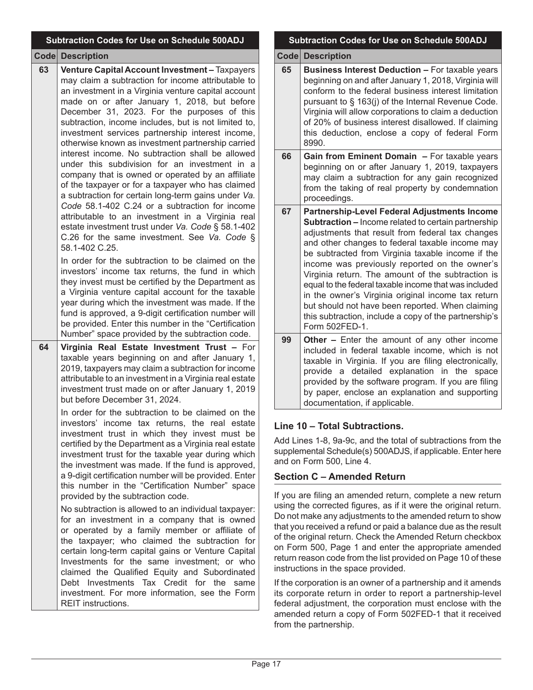|    | <b>Subtraction Codes for Use on Schedule 500ADJ</b>                                                                                                                                                                                                                                                                                                                                                                                                                                                                                                                                                                                                                                                                                                                                                                                                                                                                                                                                                                                                                                                                                                                                                                                                                                          |  |
|----|----------------------------------------------------------------------------------------------------------------------------------------------------------------------------------------------------------------------------------------------------------------------------------------------------------------------------------------------------------------------------------------------------------------------------------------------------------------------------------------------------------------------------------------------------------------------------------------------------------------------------------------------------------------------------------------------------------------------------------------------------------------------------------------------------------------------------------------------------------------------------------------------------------------------------------------------------------------------------------------------------------------------------------------------------------------------------------------------------------------------------------------------------------------------------------------------------------------------------------------------------------------------------------------------|--|
|    | <b>Code Description</b>                                                                                                                                                                                                                                                                                                                                                                                                                                                                                                                                                                                                                                                                                                                                                                                                                                                                                                                                                                                                                                                                                                                                                                                                                                                                      |  |
| 63 | Venture Capital Account Investment - Taxpayers<br>may claim a subtraction for income attributable to<br>an investment in a Virginia venture capital account<br>made on or after January 1, 2018, but before<br>December 31, 2023. For the purposes of this<br>subtraction, income includes, but is not limited to,<br>investment services partnership interest income,<br>otherwise known as investment partnership carried<br>interest income. No subtraction shall be allowed<br>under this subdivision for an investment in a<br>company that is owned or operated by an affiliate<br>of the taxpayer or for a taxpayer who has claimed<br>a subtraction for certain long-term gains under Va.<br>Code 58.1-402 C.24 or a subtraction for income<br>attributable to an investment in a Virginia real<br>estate investment trust under Va. Code § 58.1-402<br>C.26 for the same investment. See Va. Code §<br>58.1-402 C.25.                                                                                                                                                                                                                                                                                                                                                               |  |
|    | In order for the subtraction to be claimed on the<br>investors' income tax returns, the fund in which<br>they invest must be certified by the Department as<br>a Virginia venture capital account for the taxable<br>year during which the investment was made. If the<br>fund is approved, a 9-digit certification number will<br>be provided. Enter this number in the "Certification<br>Number" space provided by the subtraction code.                                                                                                                                                                                                                                                                                                                                                                                                                                                                                                                                                                                                                                                                                                                                                                                                                                                   |  |
| 64 | Virginia Real Estate Investment Trust - For<br>taxable years beginning on and after January 1,<br>2019, taxpayers may claim a subtraction for income<br>attributable to an investment in a Virginia real estate<br>investment trust made on or after January 1, 2019<br>but before December 31, 2024.<br>In order for the subtraction to be claimed on the<br>investors' income tax returns, the real estate<br>investment trust in which they invest must be<br>certified by the Department as a Virginia real estate<br>investment trust for the taxable year during which<br>the investment was made. If the fund is approved,<br>a 9-digit certification number will be provided. Enter<br>this number in the "Certification Number" space<br>provided by the subtraction code.<br>No subtraction is allowed to an individual taxpayer:<br>for an investment in a company that is owned<br>or operated by a family member or affiliate of<br>the taxpayer; who claimed the subtraction for<br>certain long-term capital gains or Venture Capital<br>Investments for the same investment; or who<br>claimed the Qualified Equity and Subordinated<br>Investments Tax Credit for the<br><b>Debt</b><br>same<br>investment. For more information, see the Form<br><b>REIT</b> instructions. |  |

## **Subtraction Codes for Use on Schedule 500ADJ**

**Code Description**

- **65 Business Interest Deduction –** For taxable years beginning on and after January 1, 2018, Virginia will conform to the federal business interest limitation pursuant to § 163(j) of the Internal Revenue Code. Virginia will allow corporations to claim a deduction of 20% of business interest disallowed. If claiming this deduction, enclose a copy of federal Form 8990.
- **66 Gain from Eminent Domain –** For taxable years beginning on or after January 1, 2019, taxpayers may claim a subtraction for any gain recognized from the taking of real property by condemnation proceedings.
- **67 Partnership-Level Federal Adjustments Income Subtraction –** Income related to certain partnership adjustments that result from federal tax changes and other changes to federal taxable income may be subtracted from Virginia taxable income if the income was previously reported on the owner's Virginia return. The amount of the subtraction is equal to the federal taxable income that was included in the owner's Virginia original income tax return but should not have been reported. When claiming this subtraction, include a copy of the partnership's Form 502FED-1.
- **99 Other –** Enter the amount of any other income included in federal taxable income, which is not taxable in Virginia. If you are filing electronically, provide a detailed explanation in the space provided by the software program. If you are filing by paper, enclose an explanation and supporting documentation, if applicable.

## **Line 10 – Total Subtractions.**

dd Lines 1-8, 9a-9c, and the total of subtractions from the supplemental Schedule(s) 500ADJS, if applicable. Enter here d on Form 500, Line 4.

## **Section C – Amended Return**

you are filing an amended return, complete a new return sing the corrected figures, as if it were the original return. o not make any adjustments to the amended return to show at you received a refund or paid a balance due as the result the original return. Check the Amended Return checkbox I Form 500, Page 1 and enter the appropriate amended turn reason code from the list provided on Page 10 of these structions in the space provided.

the corporation is an owner of a partnership and it amends corporate return in order to report a partnership-level deral adjustment, the corporation must enclose with the amended return a copy of Form 502FED-1 that it received from the partnership.